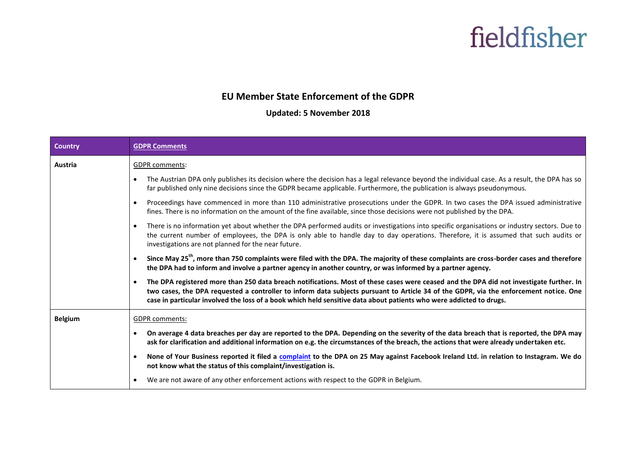#### **EU Member State Enforcement of the GDPR**

#### **Updated: 5 November 2018**

| <b>Country</b> | <b>GDPR Comments</b>                                                                                                                                                                                                                                                                                                                                                                                                 |  |
|----------------|----------------------------------------------------------------------------------------------------------------------------------------------------------------------------------------------------------------------------------------------------------------------------------------------------------------------------------------------------------------------------------------------------------------------|--|
| Austria        | <b>GDPR</b> comments:                                                                                                                                                                                                                                                                                                                                                                                                |  |
|                | The Austrian DPA only publishes its decision where the decision has a legal relevance beyond the individual case. As a result, the DPA has so<br>$\bullet$<br>far published only nine decisions since the GDPR became applicable. Furthermore, the publication is always pseudonymous.                                                                                                                               |  |
|                | Proceedings have commenced in more than 110 administrative prosecutions under the GDPR. In two cases the DPA issued administrative<br>$\bullet$<br>fines. There is no information on the amount of the fine available, since those decisions were not published by the DPA.                                                                                                                                          |  |
|                | There is no information yet about whether the DPA performed audits or investigations into specific organisations or industry sectors. Due to<br>$\bullet$<br>the current number of employees, the DPA is only able to handle day to day operations. Therefore, it is assumed that such audits or<br>investigations are not planned for the near future.                                                              |  |
|                | Since May 25 <sup>th</sup> , more than 750 complaints were filed with the DPA. The majority of these complaints are cross-border cases and therefore<br>the DPA had to inform and involve a partner agency in another country, or was informed by a partner agency.                                                                                                                                                  |  |
|                | The DPA registered more than 250 data breach notifications. Most of these cases were ceased and the DPA did not investigate further. In<br>$\bullet$<br>two cases, the DPA requested a controller to inform data subjects pursuant to Article 34 of the GDPR, via the enforcement notice. One<br>case in particular involved the loss of a book which held sensitive data about patients who were addicted to drugs. |  |
| <b>Belgium</b> | <b>GDPR</b> comments:                                                                                                                                                                                                                                                                                                                                                                                                |  |
|                | On average 4 data breaches per day are reported to the DPA. Depending on the severity of the data breach that is reported, the DPA may<br>$\bullet$<br>ask for clarification and additional information on e.g. the circumstances of the breach, the actions that were already undertaken etc.                                                                                                                       |  |
|                | None of Your Business reported it filed a complaint to the DPA on 25 May against Facebook Ireland Ltd. in relation to Instagram. We do<br>$\bullet$<br>not know what the status of this complaint/investigation is.                                                                                                                                                                                                  |  |
|                | We are not aware of any other enforcement actions with respect to the GDPR in Belgium.                                                                                                                                                                                                                                                                                                                               |  |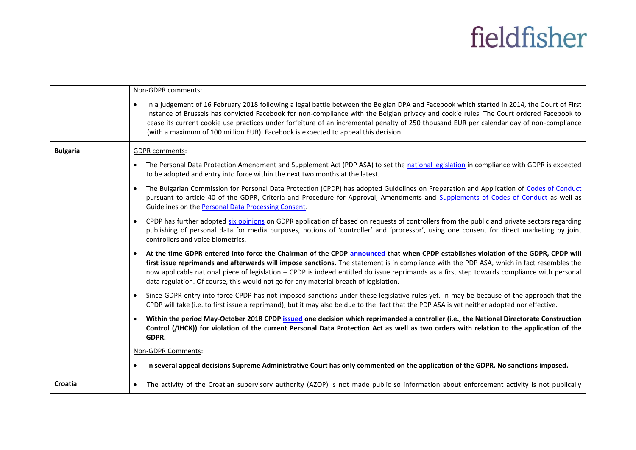|                 | Non-GDPR comments:                                                                                                                                                                                                                                                                                                                                                                                                                                                                                                                   |
|-----------------|--------------------------------------------------------------------------------------------------------------------------------------------------------------------------------------------------------------------------------------------------------------------------------------------------------------------------------------------------------------------------------------------------------------------------------------------------------------------------------------------------------------------------------------|
|                 | In a judgement of 16 February 2018 following a legal battle between the Belgian DPA and Facebook which started in 2014, the Court of First<br>$\bullet$<br>Instance of Brussels has convicted Facebook for non-compliance with the Belgian privacy and cookie rules. The Court ordered Facebook to<br>cease its current cookie use practices under forfeiture of an incremental penalty of 250 thousand EUR per calendar day of non-compliance<br>(with a maximum of 100 million EUR). Facebook is expected to appeal this decision. |
| <b>Bulgaria</b> | <b>GDPR</b> comments:                                                                                                                                                                                                                                                                                                                                                                                                                                                                                                                |
|                 | The Personal Data Protection Amendment and Supplement Act (PDP ASA) to set the national legislation in compliance with GDPR is expected<br>$\bullet$<br>to be adopted and entry into force within the next two months at the latest.                                                                                                                                                                                                                                                                                                 |
|                 | The Bulgarian Commission for Personal Data Protection (CPDP) has adopted Guidelines on Preparation and Application of Codes of Conduct<br>$\bullet$<br>pursuant to article 40 of the GDPR, Criteria and Procedure for Approval, Amendments and Supplements of Codes of Conduct as well as<br>Guidelines on the Personal Data Processing Consent.                                                                                                                                                                                     |
|                 | CPDP has further adopted six opinions on GDPR application of based on requests of controllers from the public and private sectors regarding<br>$\bullet$<br>publishing of personal data for media purposes, notions of 'controller' and 'processor', using one consent for direct marketing by joint<br>controllers and voice biometrics.                                                                                                                                                                                            |
|                 | At the time GDPR entered into force the Chairman of the CPDP announced that when CPDP establishes violation of the GDPR, CPDP will<br>$\bullet$<br>first issue reprimands and afterwards will impose sanctions. The statement is in compliance with the PDP ASA, which in fact resembles the<br>now applicable national piece of legislation - CPDP is indeed entitled do issue reprimands as a first step towards compliance with personal<br>data regulation. Of course, this would not go for any material breach of legislation. |
|                 | Since GDPR entry into force CPDP has not imposed sanctions under these legislative rules yet. In may be because of the approach that the<br>$\bullet$<br>CPDP will take (i.e. to first issue a reprimand); but it may also be due to the fact that the PDP ASA is yet neither adopted nor effective.                                                                                                                                                                                                                                 |
|                 | Within the period May-October 2018 CPDP issued one decision which reprimanded a controller (i.e., the National Directorate Construction<br>$\bullet$<br>Control (ДНСК)) for violation of the current Personal Data Protection Act as well as two orders with relation to the application of the<br>GDPR.                                                                                                                                                                                                                             |
|                 | Non-GDPR Comments:                                                                                                                                                                                                                                                                                                                                                                                                                                                                                                                   |
|                 | In several appeal decisions Supreme Administrative Court has only commented on the application of the GDPR. No sanctions imposed.                                                                                                                                                                                                                                                                                                                                                                                                    |
| Croatia         | The activity of the Croatian supervisory authority (AZOP) is not made public so information about enforcement activity is not publically<br>$\bullet$                                                                                                                                                                                                                                                                                                                                                                                |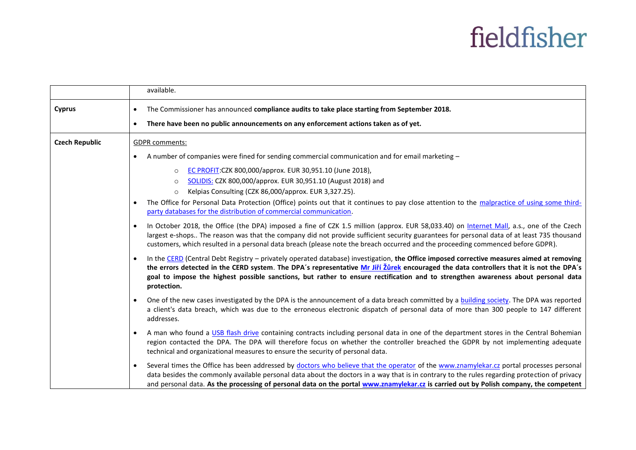|                       | available.                                                                                                                                                                                                                                                                                                                                                                                                                                     |
|-----------------------|------------------------------------------------------------------------------------------------------------------------------------------------------------------------------------------------------------------------------------------------------------------------------------------------------------------------------------------------------------------------------------------------------------------------------------------------|
| <b>Cyprus</b>         | The Commissioner has announced compliance audits to take place starting from September 2018.<br>There have been no public announcements on any enforcement actions taken as of yet.                                                                                                                                                                                                                                                            |
| <b>Czech Republic</b> | <b>GDPR</b> comments:                                                                                                                                                                                                                                                                                                                                                                                                                          |
|                       | A number of companies were fined for sending commercial communication and for email marketing -                                                                                                                                                                                                                                                                                                                                                |
|                       | EC PROFIT: CZK 800,000/approx. EUR 30,951.10 (June 2018),<br>$\circ$<br>SOLIDIS: CZK 800,000/approx. EUR 30,951.10 (August 2018) and<br>$\circ$<br>Kelpias Consulting (CZK 86,000/approx. EUR 3,327.25).<br>$\circ$                                                                                                                                                                                                                            |
|                       | The Office for Personal Data Protection (Office) points out that it continues to pay close attention to the malpractice of using some third-<br>party databases for the distribution of commercial communication.                                                                                                                                                                                                                              |
|                       | In October 2018, the Office (the DPA) imposed a fine of CZK 1.5 million (approx. EUR 58,033.40) on Internet Mall, a.s., one of the Czech<br>largest e-shops The reason was that the company did not provide sufficient security guarantees for personal data of at least 735 thousand<br>customers, which resulted in a personal data breach (please note the breach occurred and the proceeding commenced before GDPR).                       |
|                       | In the CERD (Central Debt Registry - privately operated database) investigation, the Office imposed corrective measures aimed at removing<br>the errors detected in the CERD system. The DPA's representative Mr Jiří Žůrek encouraged the data controllers that it is not the DPA's<br>goal to impose the highest possible sanctions, but rather to ensure rectification and to strengthen awareness about personal data<br>protection.       |
|                       | One of the new cases investigated by the DPA is the announcement of a data breach committed by a building society. The DPA was reported<br>a client's data breach, which was due to the erroneous electronic dispatch of personal data of more than 300 people to 147 different<br>addresses.                                                                                                                                                  |
|                       | A man who found a USB flash drive containing contracts including personal data in one of the department stores in the Central Bohemian<br>region contacted the DPA. The DPA will therefore focus on whether the controller breached the GDPR by not implementing adequate<br>technical and organizational measures to ensure the security of personal data.                                                                                    |
|                       | Several times the Office has been addressed by doctors who believe that the operator of the www.znamylekar.cz portal processes personal<br>$\bullet$<br>data besides the commonly available personal data about the doctors in a way that is in contrary to the rules regarding protection of privacy<br>and personal data. As the processing of personal data on the portal www.znamylekar.cz is carried out by Polish company, the competent |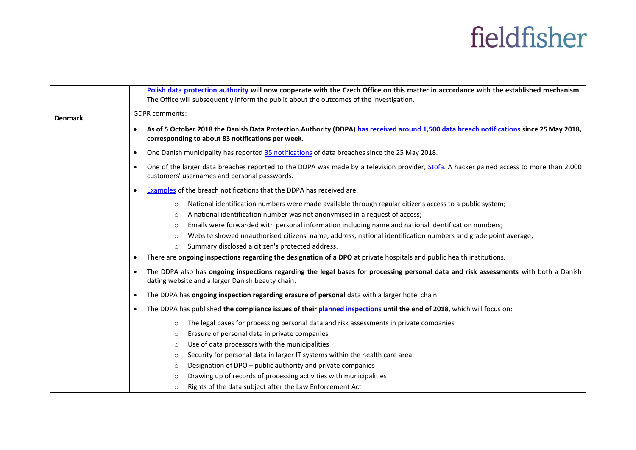|                |           | Polish data protection authority will now cooperate with the Czech Office on this matter in accordance with the established mechanism.<br>The Office will subsequently inform the public about the outcomes of the investigation.                                                                                                                                                                                                                          |
|----------------|-----------|------------------------------------------------------------------------------------------------------------------------------------------------------------------------------------------------------------------------------------------------------------------------------------------------------------------------------------------------------------------------------------------------------------------------------------------------------------|
| <b>Denmark</b> |           | <b>GDPR</b> comments:                                                                                                                                                                                                                                                                                                                                                                                                                                      |
|                | $\bullet$ | As of 5 October 2018 the Danish Data Protection Authority (DDPA) has received around 1,500 data breach notifications since 25 May 2018,<br>corresponding to about 83 notifications per week.                                                                                                                                                                                                                                                               |
|                | $\bullet$ | One Danish municipality has reported 35 notifications of data breaches since the 25 May 2018.                                                                                                                                                                                                                                                                                                                                                              |
|                | $\bullet$ | One of the larger data breaches reported to the DDPA was made by a television provider, Stofa. A hacker gained access to more than 2,000<br>customers' usernames and personal passwords.                                                                                                                                                                                                                                                                   |
|                | $\bullet$ | Examples of the breach notifications that the DDPA has received are:                                                                                                                                                                                                                                                                                                                                                                                       |
|                |           | National identification numbers were made available through regular citizens access to a public system;<br>$\circ$<br>A national identification number was not anonymised in a request of access;<br>$\circ$<br>Emails were forwarded with personal information including name and national identification numbers;<br>$\circ$<br>Website showed unauthorised citizens' name, address, national identification numbers and grade point average;<br>$\circ$ |
|                |           | Summary disclosed a citizen's protected address.<br>$\circ$                                                                                                                                                                                                                                                                                                                                                                                                |
|                | $\bullet$ | There are ongoing inspections regarding the designation of a DPO at private hospitals and public health institutions.                                                                                                                                                                                                                                                                                                                                      |
|                | $\bullet$ | The DDPA also has ongoing inspections regarding the legal bases for processing personal data and risk assessments with both a Danish<br>dating website and a larger Danish beauty chain.                                                                                                                                                                                                                                                                   |
|                | $\bullet$ | The DDPA has ongoing inspection regarding erasure of personal data with a larger hotel chain                                                                                                                                                                                                                                                                                                                                                               |
|                | $\bullet$ | The DDPA has published the compliance issues of their planned inspections until the end of 2018, which will focus on:                                                                                                                                                                                                                                                                                                                                      |
|                |           | The legal bases for processing personal data and risk assessments in private companies<br>$\circ$                                                                                                                                                                                                                                                                                                                                                          |
|                |           | Erasure of personal data in private companies<br>$\circ$                                                                                                                                                                                                                                                                                                                                                                                                   |
|                |           | Use of data processors with the municipalities<br>$\circ$                                                                                                                                                                                                                                                                                                                                                                                                  |
|                |           | Security for personal data in larger IT systems within the health care area<br>$\circ$                                                                                                                                                                                                                                                                                                                                                                     |
|                |           | Designation of DPO - public authority and private companies<br>$\circ$                                                                                                                                                                                                                                                                                                                                                                                     |
|                |           | Drawing up of records of processing activities with municipalities<br>$\circ$                                                                                                                                                                                                                                                                                                                                                                              |
|                |           | Rights of the data subject after the Law Enforcement Act<br>$\circ$                                                                                                                                                                                                                                                                                                                                                                                        |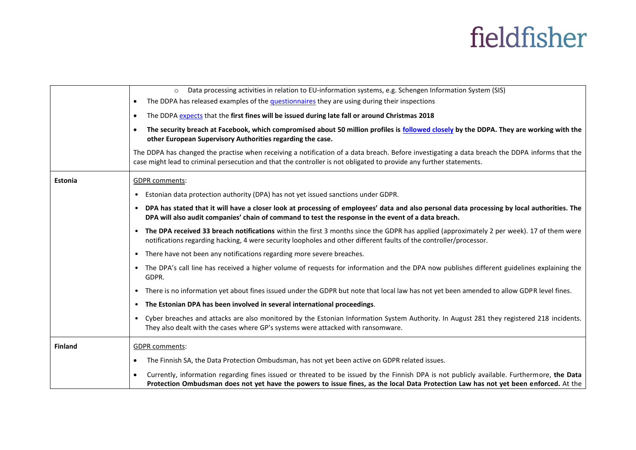|                | Data processing activities in relation to EU-information systems, e.g. Schengen Information System (SIS)<br>$\circ$                                                                                                                                                                             |
|----------------|-------------------------------------------------------------------------------------------------------------------------------------------------------------------------------------------------------------------------------------------------------------------------------------------------|
|                | The DDPA has released examples of the <i>questionnaires</i> they are using during their inspections<br>$\bullet$                                                                                                                                                                                |
|                | The DDPA expects that the first fines will be issued during late fall or around Christmas 2018<br>$\bullet$                                                                                                                                                                                     |
|                | The security breach at Facebook, which compromised about 50 million profiles is followed closely by the DDPA. They are working with the<br>$\bullet$<br>other European Supervisory Authorities regarding the case.                                                                              |
|                | The DDPA has changed the practise when receiving a notification of a data breach. Before investigating a data breach the DDPA informs that the<br>case might lead to criminal persecution and that the controller is not obligated to provide any further statements.                           |
| Estonia        | <b>GDPR</b> comments:                                                                                                                                                                                                                                                                           |
|                | Estonian data protection authority (DPA) has not yet issued sanctions under GDPR.                                                                                                                                                                                                               |
|                | • DPA has stated that it will have a closer look at processing of employees' data and also personal data processing by local authorities. The<br>DPA will also audit companies' chain of command to test the response in the event of a data breach.                                            |
|                | • The DPA received 33 breach notifications within the first 3 months since the GDPR has applied (approximately 2 per week). 17 of them were<br>notifications regarding hacking, 4 were security loopholes and other different faults of the controller/processor.                               |
|                | • There have not been any notifications regarding more severe breaches.                                                                                                                                                                                                                         |
|                | • The DPA's call line has received a higher volume of requests for information and the DPA now publishes different guidelines explaining the<br>GDPR.                                                                                                                                           |
|                | There is no information yet about fines issued under the GDPR but note that local law has not yet been amended to allow GDPR level fines.<br>$\bullet$                                                                                                                                          |
|                | • The Estonian DPA has been involved in several international proceedings.                                                                                                                                                                                                                      |
|                | • Cyber breaches and attacks are also monitored by the Estonian Information System Authority. In August 281 they registered 218 incidents.<br>They also dealt with the cases where GP's systems were attacked with ransomware.                                                                  |
| <b>Finland</b> | <b>GDPR</b> comments:                                                                                                                                                                                                                                                                           |
|                | The Finnish SA, the Data Protection Ombudsman, has not yet been active on GDPR related issues.<br>$\bullet$                                                                                                                                                                                     |
|                | Currently, information regarding fines issued or threated to be issued by the Finnish DPA is not publicly available. Furthermore, the Data<br>$\bullet$<br>Protection Ombudsman does not yet have the powers to issue fines, as the local Data Protection Law has not yet been enforced. At the |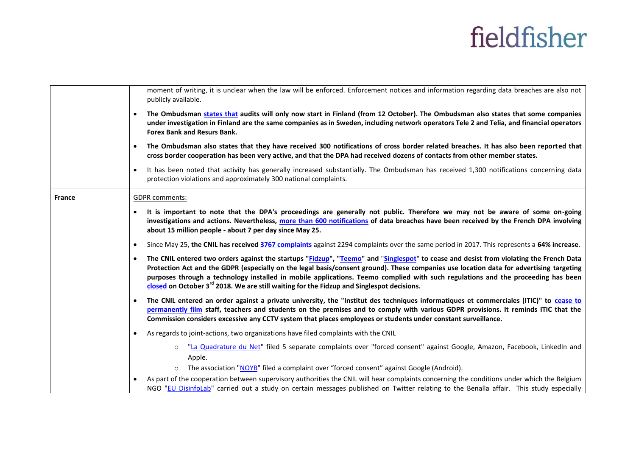|               | moment of writing, it is unclear when the law will be enforced. Enforcement notices and information regarding data breaches are also not<br>publicly available.                                                                                                                                                                                                                                                                                                                                                                             |
|---------------|---------------------------------------------------------------------------------------------------------------------------------------------------------------------------------------------------------------------------------------------------------------------------------------------------------------------------------------------------------------------------------------------------------------------------------------------------------------------------------------------------------------------------------------------|
|               | The Ombudsman states that audits will only now start in Finland (from 12 October). The Ombudsman also states that some companies<br>$\bullet$<br>under investigation in Finland are the same companies as in Sweden, including network operators Tele 2 and Telia, and financial operators<br><b>Forex Bank and Resurs Bank.</b>                                                                                                                                                                                                            |
|               | The Ombudsman also states that they have received 300 notifications of cross border related breaches. It has also been reported that<br>$\bullet$<br>cross border cooperation has been very active, and that the DPA had received dozens of contacts from other member states.                                                                                                                                                                                                                                                              |
|               | It has been noted that activity has generally increased substantially. The Ombudsman has received 1,300 notifications concerning data<br>$\bullet$<br>protection violations and approximately 300 national complaints.                                                                                                                                                                                                                                                                                                                      |
| <b>France</b> | <b>GDPR</b> comments:                                                                                                                                                                                                                                                                                                                                                                                                                                                                                                                       |
|               | It is important to note that the DPA's proceedings are generally not public. Therefore we may not be aware of some on-going<br>$\bullet$<br>investigations and actions. Nevertheless, more than 600 notifications of data breaches have been received by the French DPA involving<br>about 15 million people - about 7 per day since May 25.                                                                                                                                                                                                |
|               | Since May 25, the CNIL has received 3767 complaints against 2294 complaints over the same period in 2017. This represents a 64% increase.<br>$\bullet$                                                                                                                                                                                                                                                                                                                                                                                      |
|               | The CNIL entered two orders against the startups "Fidzup", "Teemo" and "Singlespot" to cease and desist from violating the French Data<br>$\bullet$<br>Protection Act and the GDPR (especially on the legal basis/consent ground). These companies use location data for advertising targeting<br>purposes through a technology installed in mobile applications. Teemo complied with such regulations and the proceeding has been<br>closed on October 3 <sup>rd</sup> 2018. We are still waiting for the Fidzup and Singlespot decisions. |
|               | The CNIL entered an order against a private university, the "Institut des techniques informatiques et commerciales (ITIC)" to cease to<br>$\bullet$<br>permanently film staff, teachers and students on the premises and to comply with various GDPR provisions. It reminds ITIC that the<br>Commission considers excessive any CCTV system that places employees or students under constant surveillance.                                                                                                                                  |
|               | As regards to joint-actions, two organizations have filed complaints with the CNIL<br>$\bullet$                                                                                                                                                                                                                                                                                                                                                                                                                                             |
|               | "La Quadrature du Net" filed 5 separate complaints over "forced consent" against Google, Amazon, Facebook, LinkedIn and<br>$\circ$<br>Apple.                                                                                                                                                                                                                                                                                                                                                                                                |
|               | The association "NOYB" filed a complaint over "forced consent" against Google (Android).<br>$\circ$                                                                                                                                                                                                                                                                                                                                                                                                                                         |
|               | As part of the cooperation between supervisory authorities the CNIL will hear complaints concerning the conditions under which the Belgium<br>$\bullet$<br>NGO "EU DisinfoLab" carried out a study on certain messages published on Twitter relating to the Benalla affair. This study especially                                                                                                                                                                                                                                           |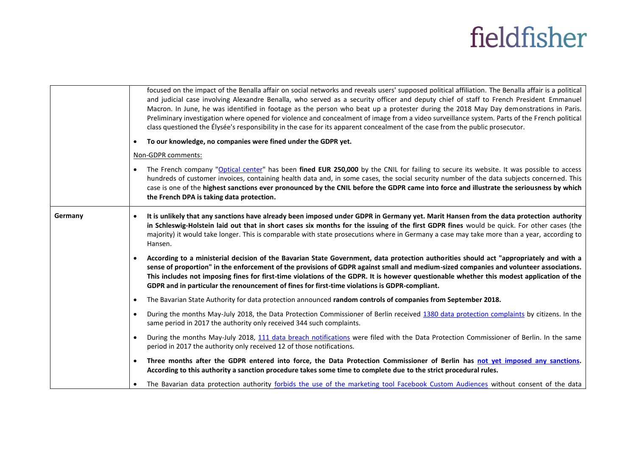|         |           | focused on the impact of the Benalla affair on social networks and reveals users' supposed political affiliation. The Benalla affair is a political<br>and judicial case involving Alexandre Benalla, who served as a security officer and deputy chief of staff to French President Emmanuel<br>Macron. In June, he was identified in footage as the person who beat up a protester during the 2018 May Day demonstrations in Paris.<br>Preliminary investigation where opened for violence and concealment of image from a video surveillance system. Parts of the French political<br>class questioned the Elysée's responsibility in the case for its apparent concealment of the case from the public prosecutor. |
|---------|-----------|------------------------------------------------------------------------------------------------------------------------------------------------------------------------------------------------------------------------------------------------------------------------------------------------------------------------------------------------------------------------------------------------------------------------------------------------------------------------------------------------------------------------------------------------------------------------------------------------------------------------------------------------------------------------------------------------------------------------|
|         | $\bullet$ | To our knowledge, no companies were fined under the GDPR yet.                                                                                                                                                                                                                                                                                                                                                                                                                                                                                                                                                                                                                                                          |
|         |           | Non-GDPR comments:                                                                                                                                                                                                                                                                                                                                                                                                                                                                                                                                                                                                                                                                                                     |
|         |           | The French company "Optical center" has been fined EUR 250,000 by the CNIL for failing to secure its website. It was possible to access<br>hundreds of customer invoices, containing health data and, in some cases, the social security number of the data subjects concerned. This<br>case is one of the highest sanctions ever pronounced by the CNIL before the GDPR came into force and illustrate the seriousness by which<br>the French DPA is taking data protection.                                                                                                                                                                                                                                          |
| Germany |           | It is unlikely that any sanctions have already been imposed under GDPR in Germany yet. Marit Hansen from the data protection authority<br>in Schleswig-Holstein laid out that in short cases six months for the issuing of the first GDPR fines would be quick. For other cases (the<br>majority) it would take longer. This is comparable with state prosecutions where in Germany a case may take more than a year, according to<br>Hansen.                                                                                                                                                                                                                                                                          |
|         |           | According to a ministerial decision of the Bavarian State Government, data protection authorities should act "appropriately and with a<br>sense of proportion" in the enforcement of the provisions of GDPR against small and medium-sized companies and volunteer associations.<br>This includes not imposing fines for first-time violations of the GDPR. It is however questionable whether this modest application of the<br>GDPR and in particular the renouncement of fines for first-time violations is GDPR-compliant.                                                                                                                                                                                         |
|         | $\bullet$ | The Bavarian State Authority for data protection announced random controls of companies from September 2018.                                                                                                                                                                                                                                                                                                                                                                                                                                                                                                                                                                                                           |
|         | $\bullet$ | During the months May-July 2018, the Data Protection Commissioner of Berlin received 1380 data protection complaints by citizens. In the<br>same period in 2017 the authority only received 344 such complaints.                                                                                                                                                                                                                                                                                                                                                                                                                                                                                                       |
|         | $\bullet$ | During the months May-July 2018, 111 data breach notifications were filed with the Data Protection Commissioner of Berlin. In the same<br>period in 2017 the authority only received 12 of those notifications.                                                                                                                                                                                                                                                                                                                                                                                                                                                                                                        |
|         | $\bullet$ | Three months after the GDPR entered into force, the Data Protection Commissioner of Berlin has not yet imposed any sanctions.<br>According to this authority a sanction procedure takes some time to complete due to the strict procedural rules.                                                                                                                                                                                                                                                                                                                                                                                                                                                                      |
|         |           | The Bavarian data protection authority forbids the use of the marketing tool Facebook Custom Audiences without consent of the data                                                                                                                                                                                                                                                                                                                                                                                                                                                                                                                                                                                     |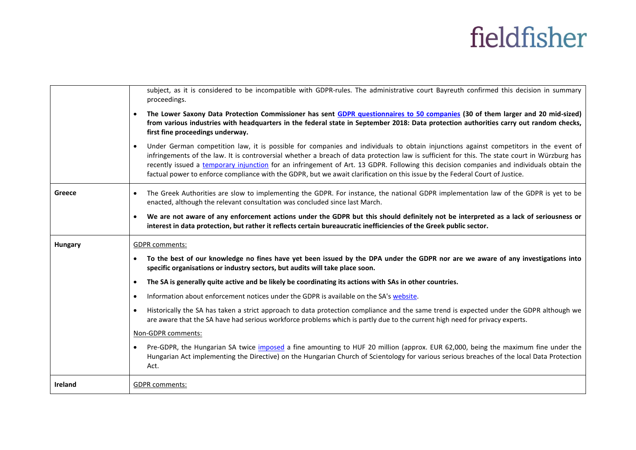|                | subject, as it is considered to be incompatible with GDPR-rules. The administrative court Bayreuth confirmed this decision in summary<br>proceedings.                                                                                                                                                                                                                                                                                                                                                                                                                          |
|----------------|--------------------------------------------------------------------------------------------------------------------------------------------------------------------------------------------------------------------------------------------------------------------------------------------------------------------------------------------------------------------------------------------------------------------------------------------------------------------------------------------------------------------------------------------------------------------------------|
|                | The Lower Saxony Data Protection Commissioner has sent GDPR questionnaires to 50 companies (30 of them larger and 20 mid-sized)<br>from various industries with headquarters in the federal state in September 2018: Data protection authorities carry out random checks,<br>first fine proceedings underway.                                                                                                                                                                                                                                                                  |
|                | Under German competition law, it is possible for companies and individuals to obtain injunctions against competitors in the event of<br>$\bullet$<br>infringements of the law. It is controversial whether a breach of data protection law is sufficient for this. The state court in Würzburg has<br>recently issued a temporary injunction for an infringement of Art. 13 GDPR. Following this decision companies and individuals obtain the<br>factual power to enforce compliance with the GDPR, but we await clarification on this issue by the Federal Court of Justice. |
| Greece         | The Greek Authorities are slow to implementing the GDPR. For instance, the national GDPR implementation law of the GDPR is yet to be<br>$\bullet$<br>enacted, although the relevant consultation was concluded since last March.                                                                                                                                                                                                                                                                                                                                               |
|                | We are not aware of any enforcement actions under the GDPR but this should definitely not be interpreted as a lack of seriousness or<br>$\bullet$<br>interest in data protection, but rather it reflects certain bureaucratic inefficiencies of the Greek public sector.                                                                                                                                                                                                                                                                                                       |
|                |                                                                                                                                                                                                                                                                                                                                                                                                                                                                                                                                                                                |
| <b>Hungary</b> | <b>GDPR</b> comments:                                                                                                                                                                                                                                                                                                                                                                                                                                                                                                                                                          |
|                | To the best of our knowledge no fines have yet been issued by the DPA under the GDPR nor are we aware of any investigations into<br>$\bullet$<br>specific organisations or industry sectors, but audits will take place soon.                                                                                                                                                                                                                                                                                                                                                  |
|                | The SA is generally quite active and be likely be coordinating its actions with SAs in other countries.<br>$\bullet$                                                                                                                                                                                                                                                                                                                                                                                                                                                           |
|                | Information about enforcement notices under the GDPR is available on the SA's website.<br>$\bullet$                                                                                                                                                                                                                                                                                                                                                                                                                                                                            |
|                | Historically the SA has taken a strict approach to data protection compliance and the same trend is expected under the GDPR although we<br>$\bullet$<br>are aware that the SA have had serious workforce problems which is partly due to the current high need for privacy experts.                                                                                                                                                                                                                                                                                            |
|                | Non-GDPR comments:                                                                                                                                                                                                                                                                                                                                                                                                                                                                                                                                                             |
|                | Pre-GDPR, the Hungarian SA twice imposed a fine amounting to HUF 20 million (approx. EUR 62,000, being the maximum fine under the<br>$\bullet$<br>Hungarian Act implementing the Directive) on the Hungarian Church of Scientology for various serious breaches of the local Data Protection<br>Act.                                                                                                                                                                                                                                                                           |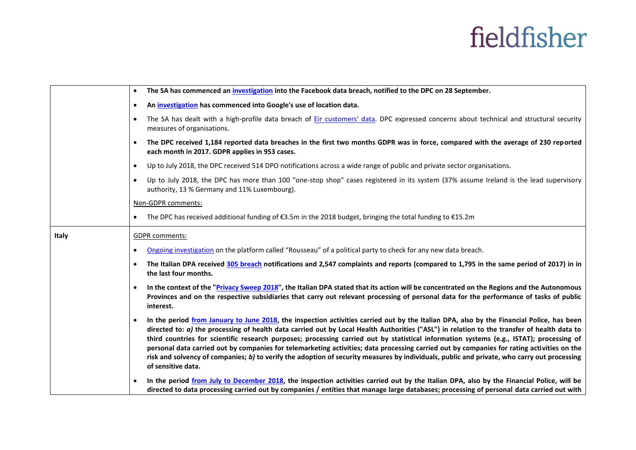|              | The SA has commenced an investigation into the Facebook data breach, notified to the DPC on 28 September.<br>$\bullet$                                                                                                                                                                                                                                                                                                                                                                                                                                                                                                                                                                                                                                               |
|--------------|----------------------------------------------------------------------------------------------------------------------------------------------------------------------------------------------------------------------------------------------------------------------------------------------------------------------------------------------------------------------------------------------------------------------------------------------------------------------------------------------------------------------------------------------------------------------------------------------------------------------------------------------------------------------------------------------------------------------------------------------------------------------|
|              | An investigation has commenced into Google's use of location data.<br>$\bullet$                                                                                                                                                                                                                                                                                                                                                                                                                                                                                                                                                                                                                                                                                      |
|              | The SA has dealt with a high-profile data breach of Eir customers' data. DPC expressed concerns about technical and structural security<br>$\bullet$<br>measures of organisations.                                                                                                                                                                                                                                                                                                                                                                                                                                                                                                                                                                                   |
|              | The DPC received 1,184 reported data breaches in the first two months GDPR was in force, compared with the average of 230 reported<br>$\bullet$<br>each month in 2017. GDPR applies in 953 cases.                                                                                                                                                                                                                                                                                                                                                                                                                                                                                                                                                                    |
|              | Up to July 2018, the DPC received 514 DPO notifications across a wide range of public and private sector organisations.<br>$\bullet$                                                                                                                                                                                                                                                                                                                                                                                                                                                                                                                                                                                                                                 |
|              | Up to July 2018, the DPC has more than 100 "one-stop shop" cases registered in its system (37% assume Ireland is the lead supervisory<br>$\bullet$<br>authority, 13 % Germany and 11% Luxembourg).                                                                                                                                                                                                                                                                                                                                                                                                                                                                                                                                                                   |
|              | Non-GDPR comments:                                                                                                                                                                                                                                                                                                                                                                                                                                                                                                                                                                                                                                                                                                                                                   |
|              | The DPC has received additional funding of €3.5m in the 2018 budget, bringing the total funding to €15.2m<br>$\bullet$                                                                                                                                                                                                                                                                                                                                                                                                                                                                                                                                                                                                                                               |
| <b>Italy</b> | <b>GDPR</b> comments:                                                                                                                                                                                                                                                                                                                                                                                                                                                                                                                                                                                                                                                                                                                                                |
|              | Ongoing investigation on the platform called "Rousseau" of a political party to check for any new data breach.<br>$\bullet$                                                                                                                                                                                                                                                                                                                                                                                                                                                                                                                                                                                                                                          |
|              | The Italian DPA received 305 breach notifications and 2,547 complaints and reports (compared to 1,795 in the same period of 2017) in in<br>$\bullet$<br>the last four months.                                                                                                                                                                                                                                                                                                                                                                                                                                                                                                                                                                                        |
|              | In the context of the "Privacy Sweep 2018", the Italian DPA stated that its action will be concentrated on the Regions and the Autonomous<br>$\bullet$<br>Provinces and on the respective subsidiaries that carry out relevant processing of personal data for the performance of tasks of public<br>interest.                                                                                                                                                                                                                                                                                                                                                                                                                                                       |
|              | In the period from January to June 2018, the inspection activities carried out by the Italian DPA, also by the Financial Police, has been<br>$\bullet$<br>directed to: a) the processing of health data carried out by Local Health Authorities ("ASL") in relation to the transfer of health data to<br>third countries for scientific research purposes; processing carried out by statistical information systems (e.g., ISTAT); processing of<br>personal data carried out by companies for telemarketing activities; data processing carried out by companies for rating activities on the<br>risk and solvency of companies; b) to verify the adoption of security measures by individuals, public and private, who carry out processing<br>of sensitive data. |
|              | In the period from July to December 2018, the inspection activities carried out by the Italian DPA, also by the Financial Police, will be<br>$\bullet$<br>directed to data processing carried out by companies / entities that manage large databases; processing of personal data carried out with                                                                                                                                                                                                                                                                                                                                                                                                                                                                  |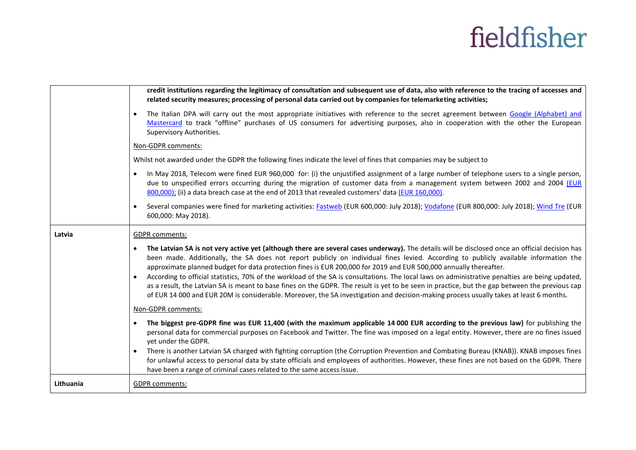|           | credit institutions regarding the legitimacy of consultation and subsequent use of data, also with reference to the tracing of accesses and<br>related security measures; processing of personal data carried out by companies for telemarketing activities;                                                                                                                                                                                                                                                                                                                                                                                                                                                                                                                                                                                                            |  |
|-----------|-------------------------------------------------------------------------------------------------------------------------------------------------------------------------------------------------------------------------------------------------------------------------------------------------------------------------------------------------------------------------------------------------------------------------------------------------------------------------------------------------------------------------------------------------------------------------------------------------------------------------------------------------------------------------------------------------------------------------------------------------------------------------------------------------------------------------------------------------------------------------|--|
|           | The Italian DPA will carry out the most appropriate initiatives with reference to the secret agreement between Google (Alphabet) and<br>Mastercard to track "offline" purchases of US consumers for advertising purposes, also in cooperation with the other the European<br>Supervisory Authorities.                                                                                                                                                                                                                                                                                                                                                                                                                                                                                                                                                                   |  |
|           | Non-GDPR comments:                                                                                                                                                                                                                                                                                                                                                                                                                                                                                                                                                                                                                                                                                                                                                                                                                                                      |  |
|           | Whilst not awarded under the GDPR the following fines indicate the level of fines that companies may be subject to                                                                                                                                                                                                                                                                                                                                                                                                                                                                                                                                                                                                                                                                                                                                                      |  |
|           | In May 2018, Telecom were fined EUR 960,000 for: (i) the unjustified assignment of a large number of telephone users to a single person,<br>$\bullet$<br>due to unspecified errors occurring during the migration of customer data from a management system between 2002 and 2004 (EUR<br>800,000); (ii) a data breach case at the end of 2013 that revealed customers' data (EUR 160,000).                                                                                                                                                                                                                                                                                                                                                                                                                                                                             |  |
|           | Several companies were fined for marketing activities: Fastweb (EUR 600,000: July 2018); Vodafone (EUR 800,000: July 2018); Wind Tre (EUR<br>600,000: May 2018).                                                                                                                                                                                                                                                                                                                                                                                                                                                                                                                                                                                                                                                                                                        |  |
| Latvia    | <b>GDPR</b> comments:                                                                                                                                                                                                                                                                                                                                                                                                                                                                                                                                                                                                                                                                                                                                                                                                                                                   |  |
|           | The Latvian SA is not very active yet (although there are several cases underway). The details will be disclosed once an official decision has<br>$\bullet$<br>been made. Additionally, the SA does not report publicly on individual fines levied. According to publicly available information the<br>approximate planned budget for data protection fines is EUR 200,000 for 2019 and EUR 500,000 annually thereafter.<br>According to official statistics, 70% of the workload of the SA is consultations. The local laws on administrative penalties are being updated,<br>as a result, the Latvian SA is meant to base fines on the GDPR. The result is yet to be seen in practice, but the gap between the previous cap<br>of EUR 14 000 and EUR 20M is considerable. Moreover, the SA investigation and decision-making process usually takes at least 6 months. |  |
|           | Non-GDPR comments:                                                                                                                                                                                                                                                                                                                                                                                                                                                                                                                                                                                                                                                                                                                                                                                                                                                      |  |
|           | The biggest pre-GDPR fine was EUR 11,400 (with the maximum applicable 14 000 EUR according to the previous law) for publishing the<br>$\bullet$<br>personal data for commercial purposes on Facebook and Twitter. The fine was imposed on a legal entity. However, there are no fines issued<br>yet under the GDPR.<br>There is another Latvian SA charged with fighting corruption (the Corruption Prevention and Combating Bureau (KNAB)). KNAB imposes fines                                                                                                                                                                                                                                                                                                                                                                                                         |  |
|           | for unlawful access to personal data by state officials and employees of authorities. However, these fines are not based on the GDPR. There<br>have been a range of criminal cases related to the same access issue.                                                                                                                                                                                                                                                                                                                                                                                                                                                                                                                                                                                                                                                    |  |
| Lithuania | <b>GDPR</b> comments:                                                                                                                                                                                                                                                                                                                                                                                                                                                                                                                                                                                                                                                                                                                                                                                                                                                   |  |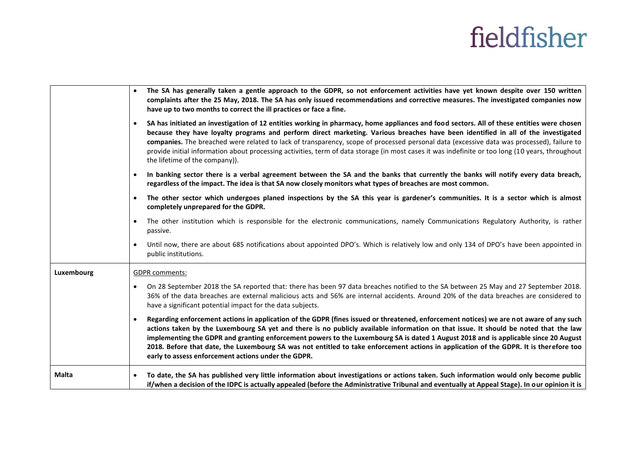|            | $\bullet$             | The SA has generally taken a gentle approach to the GDPR, so not enforcement activities have yet known despite over 150 written<br>complaints after the 25 May, 2018. The SA has only issued recommendations and corrective measures. The investigated companies now<br>have up to two months to correct the ill practices or face a fine.                                                                                                                                                                                                                                                                              |
|------------|-----------------------|-------------------------------------------------------------------------------------------------------------------------------------------------------------------------------------------------------------------------------------------------------------------------------------------------------------------------------------------------------------------------------------------------------------------------------------------------------------------------------------------------------------------------------------------------------------------------------------------------------------------------|
|            | $\bullet$             | SA has initiated an investigation of 12 entities working in pharmacy, home appliances and food sectors. All of these entities were chosen<br>because they have loyalty programs and perform direct marketing. Various breaches have been identified in all of the investigated<br>companies. The breached were related to lack of transparency, scope of processed personal data (excessive data was processed), failure to<br>provide initial information about processing activities, term of data storage (in most cases it was indefinite or too long (10 years, throughout<br>the lifetime of the company)).       |
|            | $\bullet$             | In banking sector there is a verbal agreement between the SA and the banks that currently the banks will notify every data breach,<br>regardless of the impact. The idea is that SA now closely monitors what types of breaches are most common.                                                                                                                                                                                                                                                                                                                                                                        |
|            | $\bullet$             | The other sector which undergoes planed inspections by the SA this year is gardener's communities. It is a sector which is almost<br>completely unprepared for the GDPR.                                                                                                                                                                                                                                                                                                                                                                                                                                                |
|            | $\bullet$             | The other institution which is responsible for the electronic communications, namely Communications Regulatory Authority, is rather<br>passive.                                                                                                                                                                                                                                                                                                                                                                                                                                                                         |
|            | $\bullet$             | Until now, there are about 685 notifications about appointed DPO's. Which is relatively low and only 134 of DPO's have been appointed in<br>public institutions.                                                                                                                                                                                                                                                                                                                                                                                                                                                        |
| Luxembourg | <b>GDPR</b> comments: |                                                                                                                                                                                                                                                                                                                                                                                                                                                                                                                                                                                                                         |
|            | $\bullet$             | On 28 September 2018 the SA reported that: there has been 97 data breaches notified to the SA between 25 May and 27 September 2018.<br>36% of the data breaches are external malicious acts and 56% are internal accidents. Around 20% of the data breaches are considered to<br>have a significant potential impact for the data subjects.                                                                                                                                                                                                                                                                             |
|            | $\bullet$             | Regarding enforcement actions in application of the GDPR (fines issued or threatened, enforcement notices) we are not aware of any such<br>actions taken by the Luxembourg SA yet and there is no publicly available information on that issue. It should be noted that the law<br>implementing the GDPR and granting enforcement powers to the Luxembourg SA is dated 1 August 2018 and is applicable since 20 August<br>2018. Before that date, the Luxembourg SA was not entitled to take enforcement actions in application of the GDPR. It is therefore too<br>early to assess enforcement actions under the GDPR. |
| Malta      |                       | To date, the SA has published very little information about investigations or actions taken. Such information would only become public<br>if/when a decision of the IDPC is actually appealed (before the Administrative Tribunal and eventually at Appeal Stage). In our opinion it is                                                                                                                                                                                                                                                                                                                                 |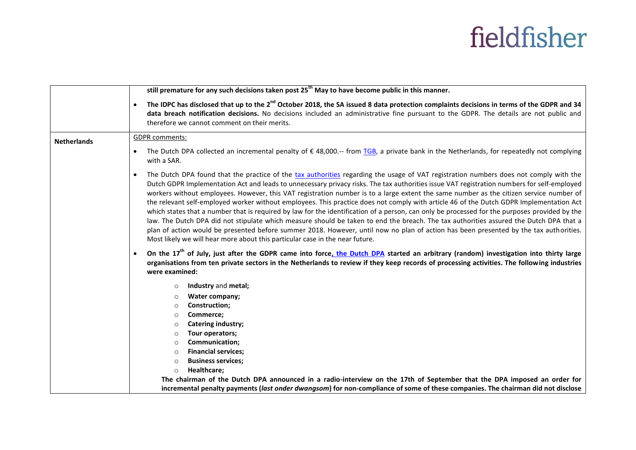|                    | still premature for any such decisions taken post 25 <sup>th</sup> May to have become public in this manner.                                                                                                                                                                                                                                                                                                                                                                                                                                                                                                                                                                                                                                                                                                                                                                                                                                                                                                                                                                                                                                                                                                                                                   |
|--------------------|----------------------------------------------------------------------------------------------------------------------------------------------------------------------------------------------------------------------------------------------------------------------------------------------------------------------------------------------------------------------------------------------------------------------------------------------------------------------------------------------------------------------------------------------------------------------------------------------------------------------------------------------------------------------------------------------------------------------------------------------------------------------------------------------------------------------------------------------------------------------------------------------------------------------------------------------------------------------------------------------------------------------------------------------------------------------------------------------------------------------------------------------------------------------------------------------------------------------------------------------------------------|
|                    | The IDPC has disclosed that up to the 2 <sup>nd</sup> October 2018, the SA issued 8 data protection complaints decisions in terms of the GDPR and 34<br>$\bullet$<br>data breach notification decisions. No decisions included an administrative fine pursuant to the GDPR. The details are not public and<br>therefore we cannot comment on their merits.                                                                                                                                                                                                                                                                                                                                                                                                                                                                                                                                                                                                                                                                                                                                                                                                                                                                                                     |
| <b>Netherlands</b> | <b>GDPR</b> comments:                                                                                                                                                                                                                                                                                                                                                                                                                                                                                                                                                                                                                                                                                                                                                                                                                                                                                                                                                                                                                                                                                                                                                                                                                                          |
|                    | The Dutch DPA collected an incremental penalty of $\epsilon$ 48,000.-- from TGB, a private bank in the Netherlands, for repeatedly not complying<br>$\bullet$<br>with a SAR.                                                                                                                                                                                                                                                                                                                                                                                                                                                                                                                                                                                                                                                                                                                                                                                                                                                                                                                                                                                                                                                                                   |
|                    | The Dutch DPA found that the practice of the tax authorities regarding the usage of VAT registration numbers does not comply with the<br>$\bullet$<br>Dutch GDPR Implementation Act and leads to unnecessary privacy risks. The tax authorities issue VAT registration numbers for self-employed<br>workers without employees. However, this VAT registration number is to a large extent the same number as the citizen service number of<br>the relevant self-employed worker without employees. This practice does not comply with article 46 of the Dutch GDPR Implementation Act<br>which states that a number that is required by law for the identification of a person, can only be processed for the purposes provided by the<br>law. The Dutch DPA did not stipulate which measure should be taken to end the breach. The tax authorities assured the Dutch DPA that a<br>plan of action would be presented before summer 2018. However, until now no plan of action has been presented by the tax authorities.<br>Most likely we will hear more about this particular case in the near future.<br>On the 17 <sup>th</sup> of July, just after the GDPR came into force, the Dutch DPA started an arbitrary (random) investigation into thirty large |
|                    | organisations from ten private sectors in the Netherlands to review if they keep records of processing activities. The following industries<br>were examined:                                                                                                                                                                                                                                                                                                                                                                                                                                                                                                                                                                                                                                                                                                                                                                                                                                                                                                                                                                                                                                                                                                  |
|                    | Industry and metal;<br>$\circ$                                                                                                                                                                                                                                                                                                                                                                                                                                                                                                                                                                                                                                                                                                                                                                                                                                                                                                                                                                                                                                                                                                                                                                                                                                 |
|                    | Water company;<br>$\circ$                                                                                                                                                                                                                                                                                                                                                                                                                                                                                                                                                                                                                                                                                                                                                                                                                                                                                                                                                                                                                                                                                                                                                                                                                                      |
|                    | Construction;<br>$\circ$                                                                                                                                                                                                                                                                                                                                                                                                                                                                                                                                                                                                                                                                                                                                                                                                                                                                                                                                                                                                                                                                                                                                                                                                                                       |
|                    | Commerce;<br>$\circ$                                                                                                                                                                                                                                                                                                                                                                                                                                                                                                                                                                                                                                                                                                                                                                                                                                                                                                                                                                                                                                                                                                                                                                                                                                           |
|                    | Catering industry;<br>$\circ$                                                                                                                                                                                                                                                                                                                                                                                                                                                                                                                                                                                                                                                                                                                                                                                                                                                                                                                                                                                                                                                                                                                                                                                                                                  |
|                    | Tour operators;<br>$\circ$                                                                                                                                                                                                                                                                                                                                                                                                                                                                                                                                                                                                                                                                                                                                                                                                                                                                                                                                                                                                                                                                                                                                                                                                                                     |
|                    | Communication;<br>$\circ$                                                                                                                                                                                                                                                                                                                                                                                                                                                                                                                                                                                                                                                                                                                                                                                                                                                                                                                                                                                                                                                                                                                                                                                                                                      |
|                    | <b>Financial services;</b><br>$\circ$<br><b>Business services;</b>                                                                                                                                                                                                                                                                                                                                                                                                                                                                                                                                                                                                                                                                                                                                                                                                                                                                                                                                                                                                                                                                                                                                                                                             |
|                    | $\circ$<br>Healthcare;<br>$\circ$                                                                                                                                                                                                                                                                                                                                                                                                                                                                                                                                                                                                                                                                                                                                                                                                                                                                                                                                                                                                                                                                                                                                                                                                                              |
|                    | The chairman of the Dutch DPA announced in a radio-interview on the 17th of September that the DPA imposed an order for                                                                                                                                                                                                                                                                                                                                                                                                                                                                                                                                                                                                                                                                                                                                                                                                                                                                                                                                                                                                                                                                                                                                        |
|                    | incremental penalty payments (last onder dwangsom) for non-compliance of some of these companies. The chairman did not disclose                                                                                                                                                                                                                                                                                                                                                                                                                                                                                                                                                                                                                                                                                                                                                                                                                                                                                                                                                                                                                                                                                                                                |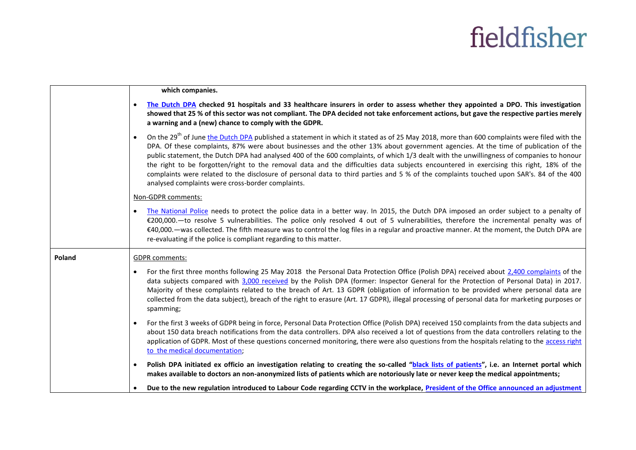|        | which companies.                                                                                                                                                                                                                                                                                                                                                                                                                                                                                                                                                                                                                                                                                                                                                                                 |  |
|--------|--------------------------------------------------------------------------------------------------------------------------------------------------------------------------------------------------------------------------------------------------------------------------------------------------------------------------------------------------------------------------------------------------------------------------------------------------------------------------------------------------------------------------------------------------------------------------------------------------------------------------------------------------------------------------------------------------------------------------------------------------------------------------------------------------|--|
|        | The Dutch DPA checked 91 hospitals and 33 healthcare insurers in order to assess whether they appointed a DPO. This investigation<br>$\bullet$<br>showed that 25 % of this sector was not compliant. The DPA decided not take enforcement actions, but gave the respective parties merely<br>a warning and a (new) chance to comply with the GDPR.                                                                                                                                                                                                                                                                                                                                                                                                                                               |  |
|        | On the 29 <sup>th</sup> of June the Dutch DPA published a statement in which it stated as of 25 May 2018, more than 600 complaints were filed with the<br>$\bullet$<br>DPA. Of these complaints, 87% were about businesses and the other 13% about government agencies. At the time of publication of the<br>public statement, the Dutch DPA had analysed 400 of the 600 complaints, of which 1/3 dealt with the unwillingness of companies to honour<br>the right to be forgotten/right to the removal data and the difficulties data subjects encountered in exercising this right, 18% of the<br>complaints were related to the disclosure of personal data to third parties and 5 % of the complaints touched upon SAR's. 84 of the 400<br>analysed complaints were cross-border complaints. |  |
|        | Non-GDPR comments:                                                                                                                                                                                                                                                                                                                                                                                                                                                                                                                                                                                                                                                                                                                                                                               |  |
|        | The National Police needs to protect the police data in a better way. In 2015, the Dutch DPA imposed an order subject to a penalty of<br>€200,000. To resolve 5 vulnerabilities. The police only resolved 4 out of 5 vulnerabilities, therefore the incremental penalty was of<br>€40,000. —was collected. The fifth measure was to control the log files in a regular and proactive manner. At the moment, the Dutch DPA are<br>re-evaluating if the police is compliant regarding to this matter.                                                                                                                                                                                                                                                                                              |  |
| Poland | <b>GDPR</b> comments:                                                                                                                                                                                                                                                                                                                                                                                                                                                                                                                                                                                                                                                                                                                                                                            |  |
|        | For the first three months following 25 May 2018 the Personal Data Protection Office (Polish DPA) received about 2,400 complaints of the<br>$\bullet$<br>data subjects compared with 3,000 received by the Polish DPA (former: Inspector General for the Protection of Personal Data) in 2017.<br>Majority of these complaints related to the breach of Art. 13 GDPR (obligation of information to be provided where personal data are<br>collected from the data subject), breach of the right to erasure (Art. 17 GDPR), illegal processing of personal data for marketing purposes or<br>spamming;                                                                                                                                                                                            |  |
|        | For the first 3 weeks of GDPR being in force, Personal Data Protection Office (Polish DPA) received 150 complaints from the data subjects and<br>$\bullet$<br>about 150 data breach notifications from the data controllers. DPA also received a lot of questions from the data controllers relating to the<br>application of GDPR. Most of these questions concerned monitoring, there were also questions from the hospitals relating to the access right<br>to the medical documentation;                                                                                                                                                                                                                                                                                                     |  |
|        | Polish DPA initiated ex officio an investigation relating to creating the so-called "black lists of patients", i.e. an Internet portal which<br>$\bullet$<br>makes available to doctors an non-anonymized lists of patients which are notoriously late or never keep the medical appointments;                                                                                                                                                                                                                                                                                                                                                                                                                                                                                                   |  |
|        | Due to the new regulation introduced to Labour Code regarding CCTV in the workplace, President of the Office announced an adjustment                                                                                                                                                                                                                                                                                                                                                                                                                                                                                                                                                                                                                                                             |  |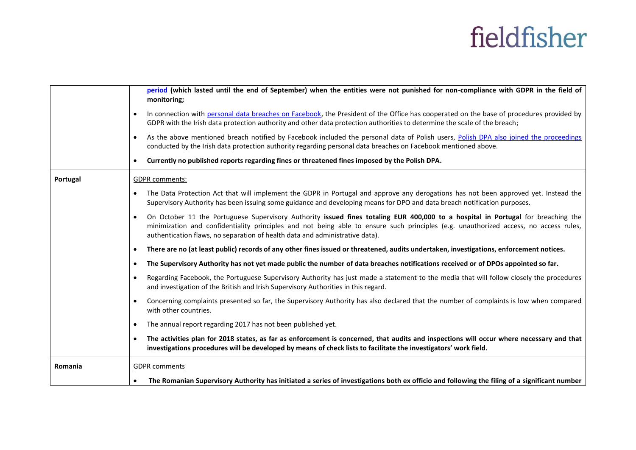|          | period (which lasted until the end of September) when the entities were not punished for non-compliance with GDPR in the field of<br>monitoring;                                                                                                                                                                                                                      |
|----------|-----------------------------------------------------------------------------------------------------------------------------------------------------------------------------------------------------------------------------------------------------------------------------------------------------------------------------------------------------------------------|
|          | In connection with personal data breaches on Facebook, the President of the Office has cooperated on the base of procedures provided by<br>$\bullet$<br>GDPR with the Irish data protection authority and other data protection authorities to determine the scale of the breach;                                                                                     |
|          | As the above mentioned breach notified by Facebook included the personal data of Polish users, Polish DPA also joined the proceedings<br>$\bullet$<br>conducted by the Irish data protection authority regarding personal data breaches on Facebook mentioned above.                                                                                                  |
|          | Currently no published reports regarding fines or threatened fines imposed by the Polish DPA.                                                                                                                                                                                                                                                                         |
| Portugal | <b>GDPR</b> comments:                                                                                                                                                                                                                                                                                                                                                 |
|          | The Data Protection Act that will implement the GDPR in Portugal and approve any derogations has not been approved yet. Instead the<br>Supervisory Authority has been issuing some guidance and developing means for DPO and data breach notification purposes.                                                                                                       |
|          | On October 11 the Portuguese Supervisory Authority issued fines totaling EUR 400,000 to a hospital in Portugal for breaching the<br>$\bullet$<br>minimization and confidentiality principles and not being able to ensure such principles (e.g. unauthorized access, no access rules,<br>authentication flaws, no separation of health data and administrative data). |
|          | There are no (at least public) records of any other fines issued or threatened, audits undertaken, investigations, enforcement notices.<br>$\bullet$                                                                                                                                                                                                                  |
|          | The Supervisory Authority has not yet made public the number of data breaches notifications received or of DPOs appointed so far.<br>$\bullet$                                                                                                                                                                                                                        |
|          | Regarding Facebook, the Portuguese Supervisory Authority has just made a statement to the media that will follow closely the procedures<br>$\bullet$<br>and investigation of the British and Irish Supervisory Authorities in this regard.                                                                                                                            |
|          | Concerning complaints presented so far, the Supervisory Authority has also declared that the number of complaints is low when compared<br>$\bullet$<br>with other countries.                                                                                                                                                                                          |
|          | The annual report regarding 2017 has not been published yet.<br>$\bullet$                                                                                                                                                                                                                                                                                             |
|          | The activities plan for 2018 states, as far as enforcement is concerned, that audits and inspections will occur where necessary and that<br>investigations procedures will be developed by means of check lists to facilitate the investigators' work field.                                                                                                          |
| Romania  | <b>GDPR</b> comments                                                                                                                                                                                                                                                                                                                                                  |
|          | The Romanian Supervisory Authority has initiated a series of investigations both ex officio and following the filing of a significant number                                                                                                                                                                                                                          |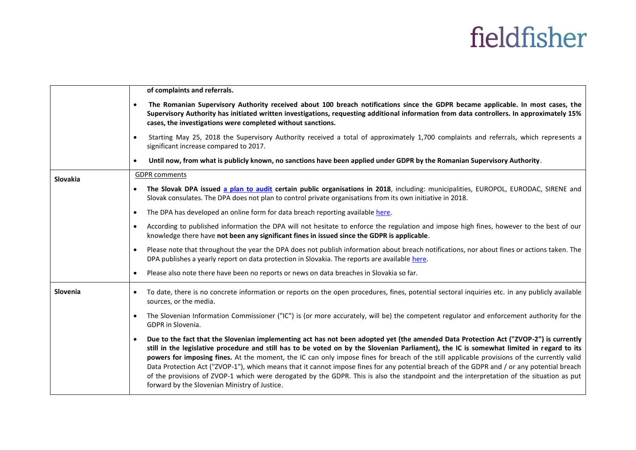|          | of complaints and referrals.                                                                                                                                                                                                                                                                                                                                                                                                                                                                                                                                                                                                                                                                                                                                                              |
|----------|-------------------------------------------------------------------------------------------------------------------------------------------------------------------------------------------------------------------------------------------------------------------------------------------------------------------------------------------------------------------------------------------------------------------------------------------------------------------------------------------------------------------------------------------------------------------------------------------------------------------------------------------------------------------------------------------------------------------------------------------------------------------------------------------|
|          | The Romanian Supervisory Authority received about 100 breach notifications since the GDPR became applicable. In most cases, the<br>Supervisory Authority has initiated written investigations, requesting additional information from data controllers. In approximately 15%<br>cases, the investigations were completed without sanctions.                                                                                                                                                                                                                                                                                                                                                                                                                                               |
|          | Starting May 25, 2018 the Supervisory Authority received a total of approximately 1,700 complaints and referrals, which represents a<br>$\bullet$<br>significant increase compared to 2017.                                                                                                                                                                                                                                                                                                                                                                                                                                                                                                                                                                                               |
|          | Until now, from what is publicly known, no sanctions have been applied under GDPR by the Romanian Supervisory Authority.<br>$\bullet$                                                                                                                                                                                                                                                                                                                                                                                                                                                                                                                                                                                                                                                     |
| Slovakia | <b>GDPR</b> comments                                                                                                                                                                                                                                                                                                                                                                                                                                                                                                                                                                                                                                                                                                                                                                      |
|          | The Slovak DPA issued a plan to audit certain public organisations in 2018, including: municipalities, EUROPOL, EURODAC, SIRENE and<br>Slovak consulates. The DPA does not plan to control private organisations from its own initiative in 2018.                                                                                                                                                                                                                                                                                                                                                                                                                                                                                                                                         |
|          | The DPA has developed an online form for data breach reporting available here.<br>$\bullet$                                                                                                                                                                                                                                                                                                                                                                                                                                                                                                                                                                                                                                                                                               |
|          | According to published information the DPA will not hesitate to enforce the regulation and impose high fines, however to the best of our<br>$\bullet$<br>knowledge there have not been any significant fines in issued since the GDPR is applicable.                                                                                                                                                                                                                                                                                                                                                                                                                                                                                                                                      |
|          | Please note that throughout the year the DPA does not publish information about breach notifications, nor about fines or actions taken. The<br>$\bullet$<br>DPA publishes a yearly report on data protection in Slovakia. The reports are available here.                                                                                                                                                                                                                                                                                                                                                                                                                                                                                                                                 |
|          | Please also note there have been no reports or news on data breaches in Slovakia so far.                                                                                                                                                                                                                                                                                                                                                                                                                                                                                                                                                                                                                                                                                                  |
| Slovenia | To date, there is no concrete information or reports on the open procedures, fines, potential sectoral inquiries etc. in any publicly available<br>$\bullet$<br>sources, or the media.                                                                                                                                                                                                                                                                                                                                                                                                                                                                                                                                                                                                    |
|          | The Slovenian Information Commissioner ("IC") is (or more accurately, will be) the competent regulator and enforcement authority for the<br>$\bullet$<br>GDPR in Slovenia.                                                                                                                                                                                                                                                                                                                                                                                                                                                                                                                                                                                                                |
|          | Due to the fact that the Slovenian implementing act has not been adopted yet (the amended Data Protection Act ("ZVOP-2") is currently<br>$\bullet$<br>still in the legislative procedure and still has to be voted on by the Slovenian Parliament), the IC is somewhat limited in regard to its<br>powers for imposing fines. At the moment, the IC can only impose fines for breach of the still applicable provisions of the currently valid<br>Data Protection Act ("ZVOP-1"), which means that it cannot impose fines for any potential breach of the GDPR and / or any potential breach<br>of the provisions of ZVOP-1 which were derogated by the GDPR. This is also the standpoint and the interpretation of the situation as put<br>forward by the Slovenian Ministry of Justice. |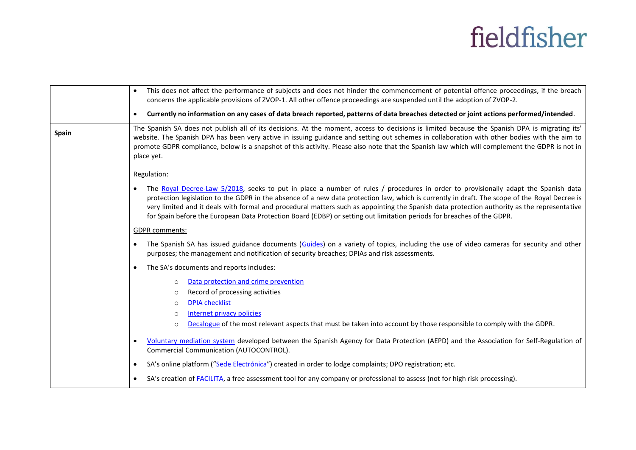|       | This does not affect the performance of subjects and does not hinder the commencement of potential offence proceedings, if the breach<br>$\bullet$<br>concerns the applicable provisions of ZVOP-1. All other offence proceedings are suspended until the adoption of ZVOP-2.                                                                                                                                                                                                                                                                                             |
|-------|---------------------------------------------------------------------------------------------------------------------------------------------------------------------------------------------------------------------------------------------------------------------------------------------------------------------------------------------------------------------------------------------------------------------------------------------------------------------------------------------------------------------------------------------------------------------------|
|       | Currently no information on any cases of data breach reported, patterns of data breaches detected or joint actions performed/intended.<br>$\bullet$                                                                                                                                                                                                                                                                                                                                                                                                                       |
| Spain | The Spanish SA does not publish all of its decisions. At the moment, access to decisions is limited because the Spanish DPA is migrating its'<br>website. The Spanish DPA has been very active in issuing guidance and setting out schemes in collaboration with other bodies with the aim to<br>promote GDPR compliance, below is a snapshot of this activity. Please also note that the Spanish law which will complement the GDPR is not in<br>place yet.                                                                                                              |
|       | Regulation:                                                                                                                                                                                                                                                                                                                                                                                                                                                                                                                                                               |
|       | The Royal Decree-Law 5/2018, seeks to put in place a number of rules / procedures in order to provisionally adapt the Spanish data<br>$\bullet$<br>protection legislation to the GDPR in the absence of a new data protection law, which is currently in draft. The scope of the Royal Decree is<br>very limited and it deals with formal and procedural matters such as appointing the Spanish data protection authority as the representative<br>for Spain before the European Data Protection Board (EDBP) or setting out limitation periods for breaches of the GDPR. |
|       | <b>GDPR</b> comments:                                                                                                                                                                                                                                                                                                                                                                                                                                                                                                                                                     |
|       | The Spanish SA has issued guidance documents (Guides) on a variety of topics, including the use of video cameras for security and other<br>$\bullet$<br>purposes; the management and notification of security breaches; DPIAs and risk assessments.                                                                                                                                                                                                                                                                                                                       |
|       | The SA's documents and reports includes:<br>$\bullet$                                                                                                                                                                                                                                                                                                                                                                                                                                                                                                                     |
|       | Data protection and crime prevention<br>$\Omega$<br>Record of processing activities<br>$\circ$                                                                                                                                                                                                                                                                                                                                                                                                                                                                            |
|       | <b>DPIA checklist</b><br>$\circ$                                                                                                                                                                                                                                                                                                                                                                                                                                                                                                                                          |
|       | Internet privacy policies<br>$\circ$<br>Decalogue of the most relevant aspects that must be taken into account by those responsible to comply with the GDPR.<br>$\circ$                                                                                                                                                                                                                                                                                                                                                                                                   |
|       | Voluntary mediation system developed between the Spanish Agency for Data Protection (AEPD) and the Association for Self-Regulation of<br>$\bullet$<br>Commercial Communication (AUTOCONTROL).                                                                                                                                                                                                                                                                                                                                                                             |
|       | SA's online platform ("Sede Electrónica") created in order to lodge complaints; DPO registration; etc.<br>$\bullet$                                                                                                                                                                                                                                                                                                                                                                                                                                                       |
|       | SA's creation of <b>FACILITA</b> , a free assessment tool for any company or professional to assess (not for high risk processing).<br>$\bullet$                                                                                                                                                                                                                                                                                                                                                                                                                          |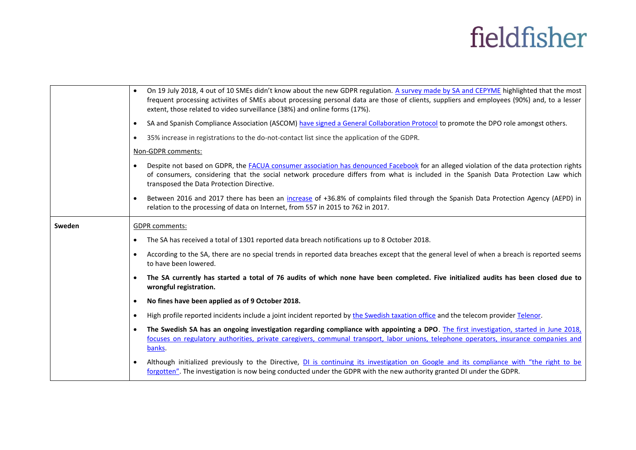|        | $\bullet$ | On 19 July 2018, 4 out of 10 SMEs didn't know about the new GDPR regulation. A survey made by SA and CEPYME highlighted that the most<br>frequent processing activiites of SMEs about processing personal data are those of clients, suppliers and employees (90%) and, to a lesser<br>extent, those related to video surveillance (38%) and online forms (17%). |
|--------|-----------|------------------------------------------------------------------------------------------------------------------------------------------------------------------------------------------------------------------------------------------------------------------------------------------------------------------------------------------------------------------|
|        | $\bullet$ | SA and Spanish Compliance Association (ASCOM) have signed a General Collaboration Protocol to promote the DPO role amongst others.                                                                                                                                                                                                                               |
|        | $\bullet$ | 35% increase in registrations to the do-not-contact list since the application of the GDPR.                                                                                                                                                                                                                                                                      |
|        |           | Non-GDPR comments:                                                                                                                                                                                                                                                                                                                                               |
|        |           | Despite not based on GDPR, the FACUA consumer association has denounced Facebook for an alleged violation of the data protection rights<br>of consumers, considering that the social network procedure differs from what is included in the Spanish Data Protection Law which<br>transposed the Data Protection Directive.                                       |
|        | $\bullet$ | Between 2016 and 2017 there has been an increase of +36.8% of complaints filed through the Spanish Data Protection Agency (AEPD) in<br>relation to the processing of data on Internet, from 557 in 2015 to 762 in 2017.                                                                                                                                          |
| Sweden |           | <b>GDPR</b> comments:                                                                                                                                                                                                                                                                                                                                            |
|        | $\bullet$ | The SA has received a total of 1301 reported data breach notifications up to 8 October 2018.                                                                                                                                                                                                                                                                     |
|        | $\bullet$ | According to the SA, there are no special trends in reported data breaches except that the general level of when a breach is reported seems<br>to have been lowered.                                                                                                                                                                                             |
|        | $\bullet$ | The SA currently has started a total of 76 audits of which none have been completed. Five initialized audits has been closed due to<br>wrongful registration.                                                                                                                                                                                                    |
|        | $\bullet$ | No fines have been applied as of 9 October 2018.                                                                                                                                                                                                                                                                                                                 |
|        | $\bullet$ | High profile reported incidents include a joint incident reported by the Swedish taxation office and the telecom provider Telenor.                                                                                                                                                                                                                               |
|        | $\bullet$ | The Swedish SA has an ongoing investigation regarding compliance with appointing a DPO. The first investigation, started in June 2018,<br>focuses on regulatory authorities, private caregivers, communal transport, labor unions, telephone operators, insurance companies and                                                                                  |
|        |           | banks.                                                                                                                                                                                                                                                                                                                                                           |